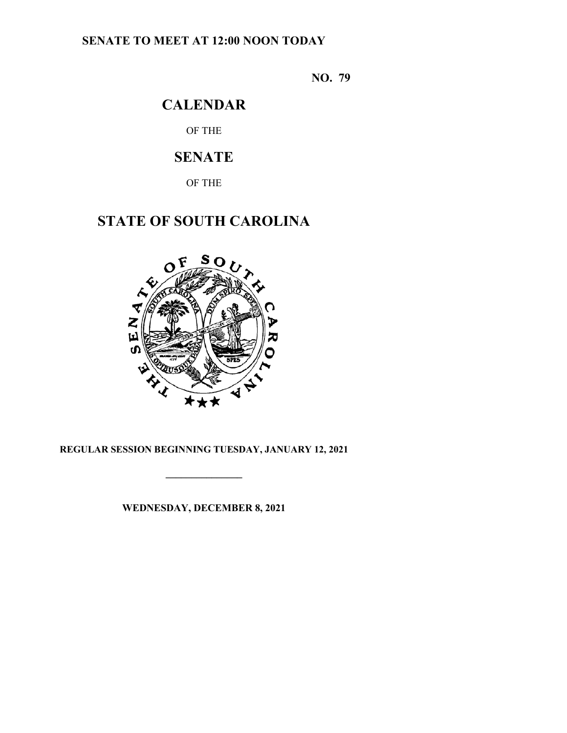## **SENATE TO MEET AT 12:00 NOON TODAY**

**NO. 79**

# **CALENDAR**

OF THE

# **SENATE**

OF THE

# **STATE OF SOUTH CAROLINA**



### **REGULAR SESSION BEGINNING TUESDAY, JANUARY 12, 2021**

**\_\_\_\_\_\_\_\_\_\_\_\_\_\_\_**

**WEDNESDAY, DECEMBER 8, 2021**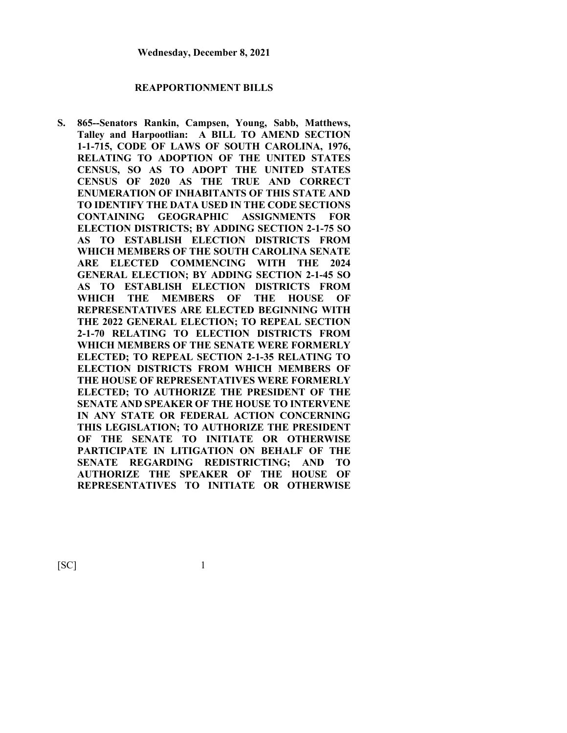#### **REAPPORTIONMENT BILLS**

**S. 865--Senators Rankin, Campsen, Young, Sabb, Matthews, Talley and Harpootlian: A BILL TO AMEND SECTION 1-1-715, CODE OF LAWS OF SOUTH CAROLINA, 1976, RELATING TO ADOPTION OF THE UNITED STATES CENSUS, SO AS TO ADOPT THE UNITED STATES CENSUS OF 2020 AS THE TRUE AND CORRECT ENUMERATION OF INHABITANTS OF THIS STATE AND TO IDENTIFY THE DATA USED IN THE CODE SECTIONS CONTAINING GEOGRAPHIC ASSIGNMENTS FOR ELECTION DISTRICTS; BY ADDING SECTION 2-1-75 SO AS TO ESTABLISH ELECTION DISTRICTS FROM WHICH MEMBERS OF THE SOUTH CAROLINA SENATE ARE ELECTED COMMENCING WITH THE 2024 GENERAL ELECTION; BY ADDING SECTION 2-1-45 SO AS TO ESTABLISH ELECTION DISTRICTS FROM WHICH THE MEMBERS OF THE HOUSE OF REPRESENTATIVES ARE ELECTED BEGINNING WITH THE 2022 GENERAL ELECTION; TO REPEAL SECTION 2-1-70 RELATING TO ELECTION DISTRICTS FROM WHICH MEMBERS OF THE SENATE WERE FORMERLY ELECTED; TO REPEAL SECTION 2-1-35 RELATING TO ELECTION DISTRICTS FROM WHICH MEMBERS OF THE HOUSE OF REPRESENTATIVES WERE FORMERLY ELECTED; TO AUTHORIZE THE PRESIDENT OF THE SENATE AND SPEAKER OF THE HOUSE TO INTERVENE IN ANY STATE OR FEDERAL ACTION CONCERNING THIS LEGISLATION; TO AUTHORIZE THE PRESIDENT OF THE SENATE TO INITIATE OR OTHERWISE PARTICIPATE IN LITIGATION ON BEHALF OF THE SENATE REGARDING REDISTRICTING; AND TO AUTHORIZE THE SPEAKER OF THE HOUSE OF REPRESENTATIVES TO INITIATE OR OTHERWISE**

 $[SC]$  1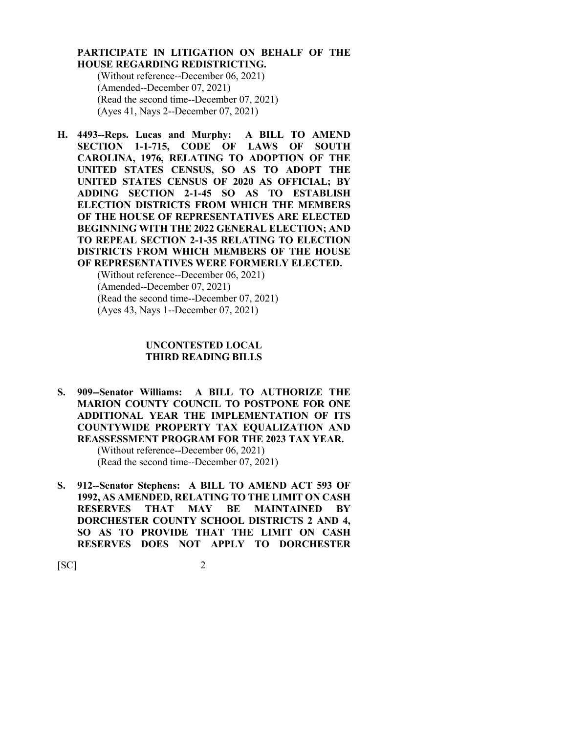#### **PARTICIPATE IN LITIGATION ON BEHALF OF THE HOUSE REGARDING REDISTRICTING.**

(Without reference--December 06, 2021) (Amended--December 07, 2021) (Read the second time--December 07, 2021) (Ayes 41, Nays 2--December 07, 2021)

**H. 4493--Reps. Lucas and Murphy: A BILL TO AMEND SECTION 1-1-715, CODE OF LAWS OF SOUTH CAROLINA, 1976, RELATING TO ADOPTION OF THE UNITED STATES CENSUS, SO AS TO ADOPT THE UNITED STATES CENSUS OF 2020 AS OFFICIAL; BY ADDING SECTION 2-1-45 SO AS TO ESTABLISH ELECTION DISTRICTS FROM WHICH THE MEMBERS OF THE HOUSE OF REPRESENTATIVES ARE ELECTED BEGINNING WITH THE 2022 GENERAL ELECTION; AND TO REPEAL SECTION 2-1-35 RELATING TO ELECTION DISTRICTS FROM WHICH MEMBERS OF THE HOUSE OF REPRESENTATIVES WERE FORMERLY ELECTED.**

> (Without reference--December 06, 2021) (Amended--December 07, 2021) (Read the second time--December 07, 2021) (Ayes 43, Nays 1--December 07, 2021)

#### **UNCONTESTED LOCAL THIRD READING BILLS**

- **S. 909--Senator Williams: A BILL TO AUTHORIZE THE MARION COUNTY COUNCIL TO POSTPONE FOR ONE ADDITIONAL YEAR THE IMPLEMENTATION OF ITS COUNTYWIDE PROPERTY TAX EQUALIZATION AND REASSESSMENT PROGRAM FOR THE 2023 TAX YEAR.** (Without reference--December 06, 2021) (Read the second time--December 07, 2021)
- **S. 912--Senator Stephens: A BILL TO AMEND ACT 593 OF 1992, AS AMENDED, RELATING TO THE LIMIT ON CASH RESERVES THAT MAY BE MAINTAINED BY DORCHESTER COUNTY SCHOOL DISTRICTS 2 AND 4, SO AS TO PROVIDE THAT THE LIMIT ON CASH RESERVES DOES NOT APPLY TO DORCHESTER**

 $[SC]$  2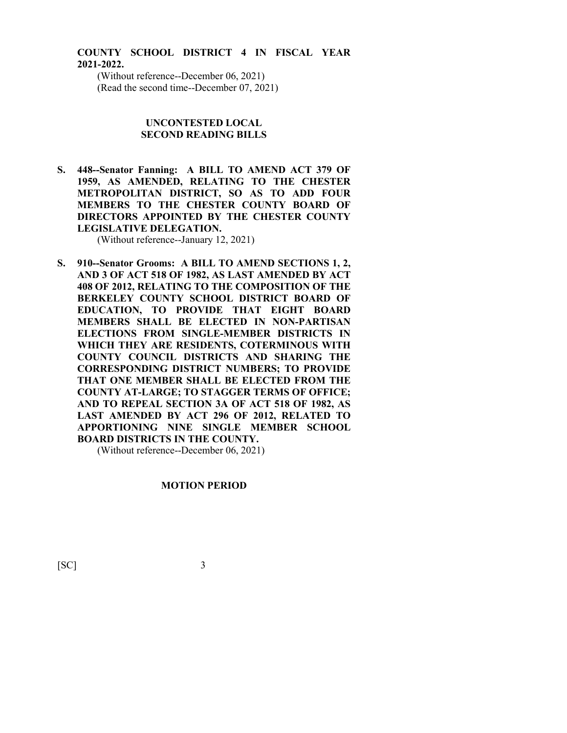### **COUNTY SCHOOL DISTRICT 4 IN FISCAL YEAR 2021-2022.**

(Without reference--December 06, 2021) (Read the second time--December 07, 2021)

#### **UNCONTESTED LOCAL SECOND READING BILLS**

**S. 448--Senator Fanning: A BILL TO AMEND ACT 379 OF 1959, AS AMENDED, RELATING TO THE CHESTER METROPOLITAN DISTRICT, SO AS TO ADD FOUR MEMBERS TO THE CHESTER COUNTY BOARD OF DIRECTORS APPOINTED BY THE CHESTER COUNTY LEGISLATIVE DELEGATION.**

(Without reference--January 12, 2021)

**S. 910--Senator Grooms: A BILL TO AMEND SECTIONS 1, 2, AND 3 OF ACT 518 OF 1982, AS LAST AMENDED BY ACT 408 OF 2012, RELATING TO THE COMPOSITION OF THE BERKELEY COUNTY SCHOOL DISTRICT BOARD OF EDUCATION, TO PROVIDE THAT EIGHT BOARD MEMBERS SHALL BE ELECTED IN NON-PARTISAN ELECTIONS FROM SINGLE-MEMBER DISTRICTS IN WHICH THEY ARE RESIDENTS, COTERMINOUS WITH COUNTY COUNCIL DISTRICTS AND SHARING THE CORRESPONDING DISTRICT NUMBERS; TO PROVIDE THAT ONE MEMBER SHALL BE ELECTED FROM THE COUNTY AT-LARGE; TO STAGGER TERMS OF OFFICE; AND TO REPEAL SECTION 3A OF ACT 518 OF 1982, AS LAST AMENDED BY ACT 296 OF 2012, RELATED TO APPORTIONING NINE SINGLE MEMBER SCHOOL BOARD DISTRICTS IN THE COUNTY.**

(Without reference--December 06, 2021)

#### **MOTION PERIOD**